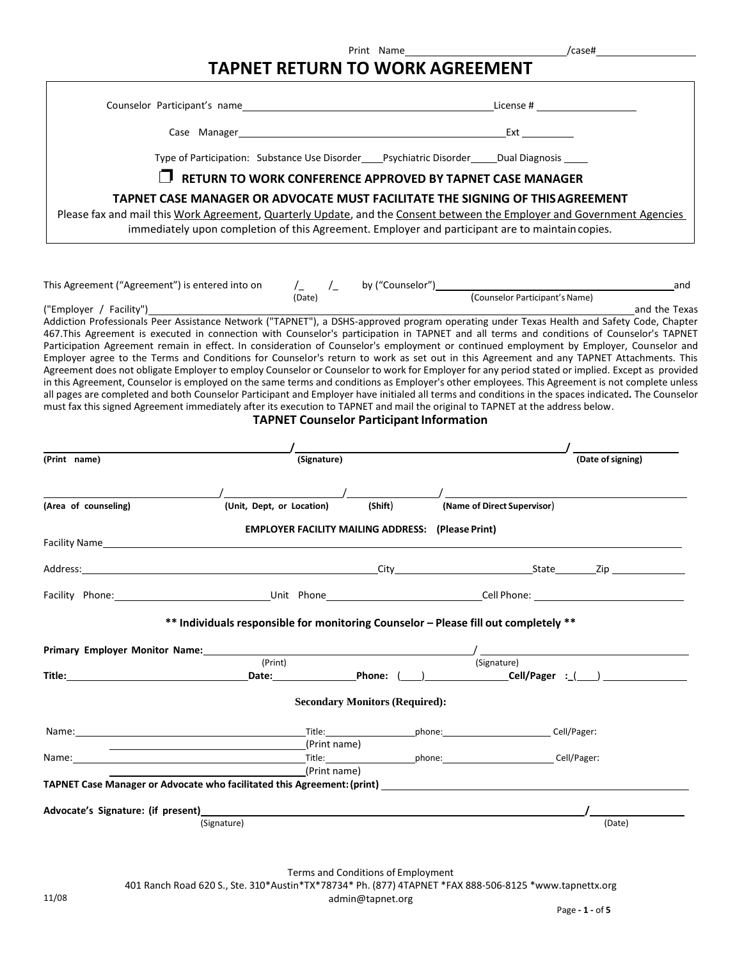|                                                                                                                                                                                                                                                                                                                                                                                                                                                                                                                                                                                                                                                                                                                                                                                                                                                                                                                                                                                                                                                                                                                                                                                                                 | <b>TAPNET RETURN TO WORK AGREEMENT</b>                                                                                                                                           |             | Print Name                                               |                             | /case#                                                                                                         |
|-----------------------------------------------------------------------------------------------------------------------------------------------------------------------------------------------------------------------------------------------------------------------------------------------------------------------------------------------------------------------------------------------------------------------------------------------------------------------------------------------------------------------------------------------------------------------------------------------------------------------------------------------------------------------------------------------------------------------------------------------------------------------------------------------------------------------------------------------------------------------------------------------------------------------------------------------------------------------------------------------------------------------------------------------------------------------------------------------------------------------------------------------------------------------------------------------------------------|----------------------------------------------------------------------------------------------------------------------------------------------------------------------------------|-------------|----------------------------------------------------------|-----------------------------|----------------------------------------------------------------------------------------------------------------|
|                                                                                                                                                                                                                                                                                                                                                                                                                                                                                                                                                                                                                                                                                                                                                                                                                                                                                                                                                                                                                                                                                                                                                                                                                 |                                                                                                                                                                                  |             |                                                          |                             |                                                                                                                |
|                                                                                                                                                                                                                                                                                                                                                                                                                                                                                                                                                                                                                                                                                                                                                                                                                                                                                                                                                                                                                                                                                                                                                                                                                 |                                                                                                                                                                                  |             |                                                          |                             |                                                                                                                |
|                                                                                                                                                                                                                                                                                                                                                                                                                                                                                                                                                                                                                                                                                                                                                                                                                                                                                                                                                                                                                                                                                                                                                                                                                 |                                                                                                                                                                                  |             |                                                          |                             |                                                                                                                |
|                                                                                                                                                                                                                                                                                                                                                                                                                                                                                                                                                                                                                                                                                                                                                                                                                                                                                                                                                                                                                                                                                                                                                                                                                 | Type of Participation: Substance Use Disorder____Psychiatric Disorder_____Dual Diagnosis _____                                                                                   |             |                                                          |                             |                                                                                                                |
|                                                                                                                                                                                                                                                                                                                                                                                                                                                                                                                                                                                                                                                                                                                                                                                                                                                                                                                                                                                                                                                                                                                                                                                                                 | RETURN TO WORK CONFERENCE APPROVED BY TAPNET CASE MANAGER                                                                                                                        |             |                                                          |                             |                                                                                                                |
| Please fax and mail this Work Agreement, Quarterly Update, and the Consent between the Employer and Government Agencies                                                                                                                                                                                                                                                                                                                                                                                                                                                                                                                                                                                                                                                                                                                                                                                                                                                                                                                                                                                                                                                                                         | TAPNET CASE MANAGER OR ADVOCATE MUST FACILITATE THE SIGNING OF THIS AGREEMENT<br>immediately upon completion of this Agreement. Employer and participant are to maintain copies. |             |                                                          |                             |                                                                                                                |
| This Agreement ("Agreement") is entered into on $\frac{1}{2}$ $\frac{1}{2}$ by ("Counselor") (Counselor Participant's Name)                                                                                                                                                                                                                                                                                                                                                                                                                                                                                                                                                                                                                                                                                                                                                                                                                                                                                                                                                                                                                                                                                     |                                                                                                                                                                                  |             |                                                          |                             | and                                                                                                            |
| ("Employer / Facility")___________<br>Addiction Professionals Peer Assistance Network ("TAPNET"), a DSHS-approved program operating under Texas Health and Safety Code, Chapter<br>467. This Agreement is executed in connection with Counselor's participation in TAPNET and all terms and conditions of Counselor's TAPNET<br>Participation Agreement remain in effect. In consideration of Counselor's employment or continued employment by Employer, Counselor and<br>Employer agree to the Terms and Conditions for Counselor's return to work as set out in this Agreement and any TAPNET Attachments. This<br>Agreement does not obligate Employer to employ Counselor or Counselor to work for Employer for any period stated or implied. Except as provided<br>in this Agreement, Counselor is employed on the same terms and conditions as Employer's other employees. This Agreement is not complete unless<br>all pages are completed and both Counselor Participant and Employer have initialed all terms and conditions in the spaces indicated. The Counselor<br>must fax this signed Agreement immediately after its execution to TAPNET and mail the original to TAPNET at the address below. |                                                                                                                                                                                  |             | <b>TAPNET Counselor Participant Information</b>          |                             | and the Texas                                                                                                  |
| (Print name)                                                                                                                                                                                                                                                                                                                                                                                                                                                                                                                                                                                                                                                                                                                                                                                                                                                                                                                                                                                                                                                                                                                                                                                                    |                                                                                                                                                                                  | (Signature) |                                                          |                             | (Date of signing)                                                                                              |
| (Area of counseling)                                                                                                                                                                                                                                                                                                                                                                                                                                                                                                                                                                                                                                                                                                                                                                                                                                                                                                                                                                                                                                                                                                                                                                                            | (Unit, Dept, or Location)                                                                                                                                                        |             | (Shift)                                                  | (Name of Direct Supervisor) |                                                                                                                |
|                                                                                                                                                                                                                                                                                                                                                                                                                                                                                                                                                                                                                                                                                                                                                                                                                                                                                                                                                                                                                                                                                                                                                                                                                 |                                                                                                                                                                                  |             | <b>EMPLOYER FACILITY MAILING ADDRESS: (Please Print)</b> |                             |                                                                                                                |
| Address:                                                                                                                                                                                                                                                                                                                                                                                                                                                                                                                                                                                                                                                                                                                                                                                                                                                                                                                                                                                                                                                                                                                                                                                                        |                                                                                                                                                                                  |             |                                                          | City State State State      | Zip in the state of the state of the state of the state of the state of the state of the state of the state of |
|                                                                                                                                                                                                                                                                                                                                                                                                                                                                                                                                                                                                                                                                                                                                                                                                                                                                                                                                                                                                                                                                                                                                                                                                                 |                                                                                                                                                                                  |             |                                                          |                             |                                                                                                                |
|                                                                                                                                                                                                                                                                                                                                                                                                                                                                                                                                                                                                                                                                                                                                                                                                                                                                                                                                                                                                                                                                                                                                                                                                                 | ** Individuals responsible for monitoring Counselor - Please fill out completely **                                                                                              |             |                                                          |                             |                                                                                                                |
| Primary Employer Monitor Name:                                                                                                                                                                                                                                                                                                                                                                                                                                                                                                                                                                                                                                                                                                                                                                                                                                                                                                                                                                                                                                                                                                                                                                                  | (Print)                                                                                                                                                                          |             |                                                          | (Signature)                 |                                                                                                                |
| Title: 2000 Cell/Pager : 2000 Cell/Pager : 2000 Cell/Pager : 2000 Cell/Pager : 2000 Cell/Pager : 2000 Cell/Pager : 2000 Cell/Pager : 2000 Cell/Pager : 2000 Cell/Pager : 2000 Cell/Pager : 2000 Cell/Pager : 2000 Cell (Discou                                                                                                                                                                                                                                                                                                                                                                                                                                                                                                                                                                                                                                                                                                                                                                                                                                                                                                                                                                                  |                                                                                                                                                                                  |             |                                                          |                             |                                                                                                                |
|                                                                                                                                                                                                                                                                                                                                                                                                                                                                                                                                                                                                                                                                                                                                                                                                                                                                                                                                                                                                                                                                                                                                                                                                                 |                                                                                                                                                                                  |             | <b>Secondary Monitors (Required):</b>                    |                             |                                                                                                                |
| Name: Cell/Pager: Cell/Pager: Cell/Pager: Title: Cell/Pager: Cell/Pager: Cell/Pager:                                                                                                                                                                                                                                                                                                                                                                                                                                                                                                                                                                                                                                                                                                                                                                                                                                                                                                                                                                                                                                                                                                                            |                                                                                                                                                                                  |             |                                                          |                             |                                                                                                                |
|                                                                                                                                                                                                                                                                                                                                                                                                                                                                                                                                                                                                                                                                                                                                                                                                                                                                                                                                                                                                                                                                                                                                                                                                                 | (Print name)                                                                                                                                                                     |             |                                                          |                             |                                                                                                                |
| Name: Cell/Pager: Cell/Pager: Cell/Pager: Cell/Pager: Cell/Pager: Cell/Pager: Cell/Pager: Cell/Pager: Cell/Pager:                                                                                                                                                                                                                                                                                                                                                                                                                                                                                                                                                                                                                                                                                                                                                                                                                                                                                                                                                                                                                                                                                               | (Print name)                                                                                                                                                                     |             |                                                          |                             |                                                                                                                |
|                                                                                                                                                                                                                                                                                                                                                                                                                                                                                                                                                                                                                                                                                                                                                                                                                                                                                                                                                                                                                                                                                                                                                                                                                 |                                                                                                                                                                                  |             |                                                          |                             |                                                                                                                |
|                                                                                                                                                                                                                                                                                                                                                                                                                                                                                                                                                                                                                                                                                                                                                                                                                                                                                                                                                                                                                                                                                                                                                                                                                 |                                                                                                                                                                                  |             |                                                          |                             |                                                                                                                |
|                                                                                                                                                                                                                                                                                                                                                                                                                                                                                                                                                                                                                                                                                                                                                                                                                                                                                                                                                                                                                                                                                                                                                                                                                 | (Signature)                                                                                                                                                                      |             |                                                          |                             | (Date)                                                                                                         |
|                                                                                                                                                                                                                                                                                                                                                                                                                                                                                                                                                                                                                                                                                                                                                                                                                                                                                                                                                                                                                                                                                                                                                                                                                 | 401 Ranch Road 620 S., Ste. 310*Austin*TX*78734* Ph. (877) 4TAPNET *FAX 888-506-8125 *www.tapnettx.org                                                                           |             | Terms and Conditions of Employment                       |                             |                                                                                                                |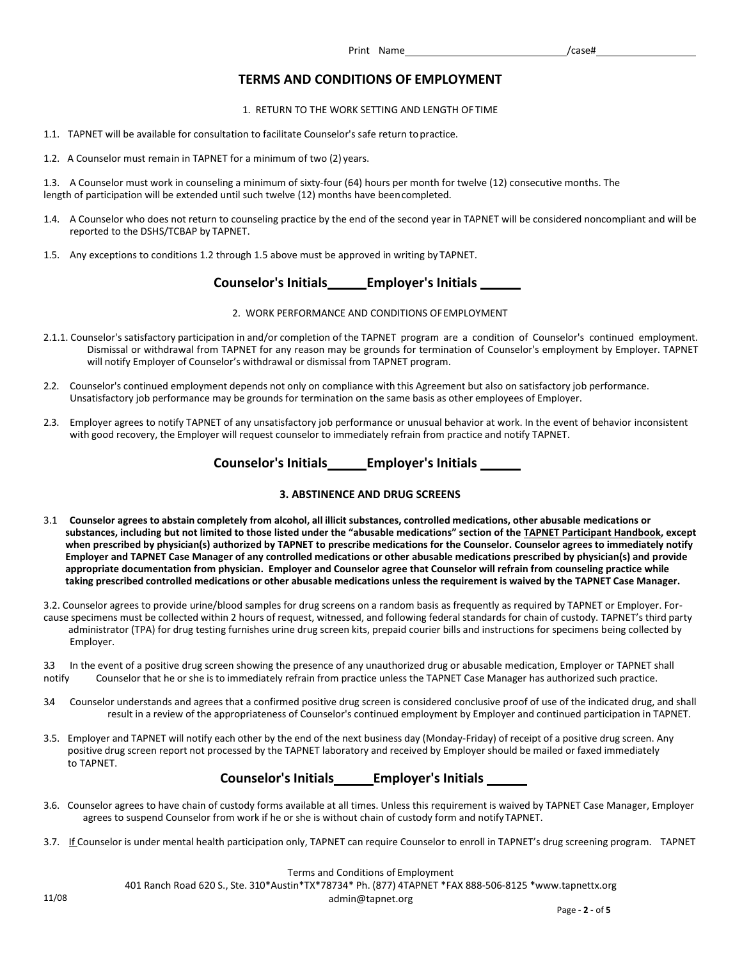# **TERMS AND CONDITIONS OF EMPLOYMENT**

1. RETURN TO THE WORK SETTING AND LENGTH OF TIME

- 1.1. TAPNET will be available for consultation to facilitate Counselor's safe return topractice.
- 1.2. A Counselor must remain in TAPNET for a minimum of two (2) years.

1.3. A Counselor must work in counseling a minimum of sixty-four (64) hours per month for twelve (12) consecutive months. The length of participation will be extended until such twelve (12) months have beencompleted.

- 1.4. A Counselor who does not return to counseling practice by the end of the second year in TAPNET will be considered noncompliant and will be reported to the DSHS/TCBAP by TAPNET.
- 1.5. Any exceptions to conditions 1.2 through 1.5 above must be approved in writing by TAPNET.

# **Counselor's Initials Employer's Initials**

#### 2. WORK PERFORMANCE AND CONDITIONS OFEMPLOYMENT

- 2.1.1. Counselor's satisfactory participation in and/or completion of the TAPNET program are a condition of Counselor's continued employment. Dismissal or withdrawal from TAPNET for any reason may be grounds for termination of Counselor's employment by Employer. TAPNET will notify Employer of Counselor's withdrawal or dismissal from TAPNET program.
- 2.2. Counselor's continued employment depends not only on compliance with this Agreement but also on satisfactory job performance. Unsatisfactory job performance may be grounds for termination on the same basis as other employees of Employer.
- 2.3. Employer agrees to notify TAPNET of any unsatisfactory job performance or unusual behavior at work. In the event of behavior inconsistent with good recovery, the Employer will request counselor to immediately refrain from practice and notify TAPNET.

# **Counselor's Initials Employer's Initials**

## **3. ABSTINENCE AND DRUG SCREENS**

- 3.1 Counselor agrees to abstain completely from alcohol, all illicit substances, controlled medications, other abusable medications or **substances, including but not limited to those listed under the "abusable medications" section of the TAPNET Participant Handbook, except when prescribed by physician(s) authorized by TAPNET to prescribe medications for the Counselor. Counselor agrees to immediately notify Employer and TAPNET Case Manager of any controlled medications or other abusable medications prescribed by physician(s) and provide appropriate documentation from physician. Employer and Counselor agree that Counselor will refrain from counseling practice while**  taking prescribed controlled medications or other abusable medications unless the requirement is waived by the TAPNET Case Manager.
- 3.2. Counselor agrees to provide urine/blood samples for drug screens on a random basis as frequently as required by TAPNET or Employer. Forcause specimens must be collected within 2 hours of request, witnessed, and following federal standards for chain of custody. TAPNET's third party administrator (TPA) for drug testing furnishes urine drug screen kits, prepaid courier bills and instructions for specimens being collected by Employer.

3.3 In the event of a positive drug screen showing the presence of any unauthorized drug or abusable medication, Employer or TAPNET shall<br>notify counselor that he or she is to immediately refrain from practice unless the T Counselor that he or she is to immediately refrain from practice unless the TAPNET Case Manager has authorized such practice.

- 3.4 Counselor understands and agrees that a confirmed positive drug screen is considered conclusive proof of use of the indicated drug, and shall result in a review of the appropriateness of Counselor's continued employment by Employer and continued participation in TAPNET.
- 3.5. Employer and TAPNET will notify each other by the end of the next business day (Monday-Friday) of receipt of a positive drug screen. Any positive drug screen report not processed by the TAPNET laboratory and received by Employer should be mailed or faxed immediately to TAPNET.

# **Counselor's Initials Employer's Initials**

- 3.6. Counselor agrees to have chain of custody forms available at all times. Unless this requirement is waived by TAPNET Case Manager, Employer agrees to suspend Counselor from work if he or she is without chain of custody form and notifyTAPNET.
- 3.7. If Counselor is under mental health participation only, TAPNET can require Counselor to enroll in TAPNET's drug screening program. TAPNET

Terms and Conditions of Employment 401 Ranch Road 620 S., Ste. 310\*Austin\*TX\*78734\* Ph. (877) 4TAPNET \*FAX 888-506-8125 [\\*www.tapnettx.org](http://www.tapnettx.org/) 11/08 admin@tapnet.org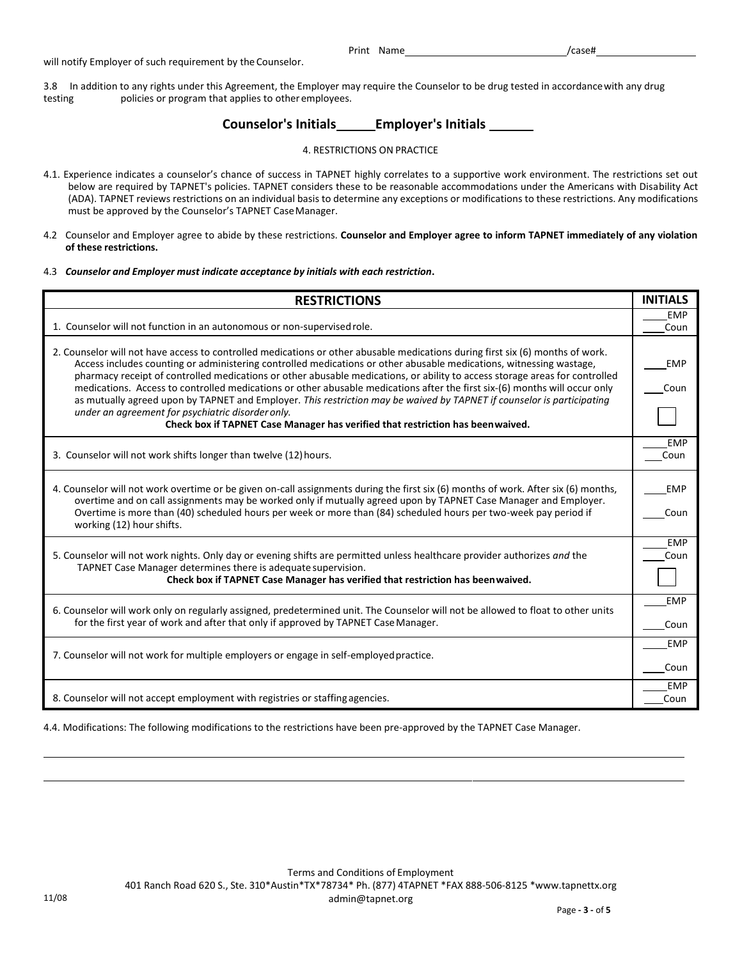Print Name /case#

will notify Employer of such requirement by the Counselor.

3.8 In addition to any rights under this Agreement, the Employer may require the Counselor to be drug tested in accordancewith any drug testing policies or program that applies to other employees.

# **Counselor's Initials Employer's Initials**

## 4. RESTRICTIONS ON PRACTICE

- 4.1. Experience indicates a counselor's chance of success in TAPNET highly correlates to a supportive work environment. The restrictions set out below are required by TAPNET's policies. TAPNET considers these to be reasonable accommodations under the Americans with Disability Act (ADA). TAPNET reviews restrictions on an individual basis to determine any exceptions or modifications to these restrictions. Any modifications must be approved by the Counselor's TAPNET CaseManager.
- 4.2 Counselor and Employer agree to abide by these restrictions. **Counselor and Employer agree to inform TAPNET immediately of any violation of these restrictions.**
- 4.3 *Counselor and Employer must indicate acceptance by initials with each restriction***.**

| <b>RESTRICTIONS</b>                                                                                                                                                                                                                                                                                                                                                                                                                                                                                                                                                                                                                                                                                                                                                                  | <b>INITIALS</b> |  |  |  |
|--------------------------------------------------------------------------------------------------------------------------------------------------------------------------------------------------------------------------------------------------------------------------------------------------------------------------------------------------------------------------------------------------------------------------------------------------------------------------------------------------------------------------------------------------------------------------------------------------------------------------------------------------------------------------------------------------------------------------------------------------------------------------------------|-----------------|--|--|--|
|                                                                                                                                                                                                                                                                                                                                                                                                                                                                                                                                                                                                                                                                                                                                                                                      |                 |  |  |  |
| 1. Counselor will not function in an autonomous or non-supervised role.                                                                                                                                                                                                                                                                                                                                                                                                                                                                                                                                                                                                                                                                                                              |                 |  |  |  |
| 2. Counselor will not have access to controlled medications or other abusable medications during first six (6) months of work.<br>Access includes counting or administering controlled medications or other abusable medications, witnessing wastage,<br>pharmacy receipt of controlled medications or other abusable medications, or ability to access storage areas for controlled<br>medications. Access to controlled medications or other abusable medications after the first six-(6) months will occur only<br>as mutually agreed upon by TAPNET and Employer. This restriction may be waived by TAPNET if counselor is participating<br>under an agreement for psychiatric disorder only.<br>Check box if TAPNET Case Manager has verified that restriction has been waived. |                 |  |  |  |
| 3. Counselor will not work shifts longer than twelve (12) hours.                                                                                                                                                                                                                                                                                                                                                                                                                                                                                                                                                                                                                                                                                                                     | FMP<br>Coun     |  |  |  |
| 4. Counselor will not work overtime or be given on-call assignments during the first six (6) months of work. After six (6) months,<br>overtime and on call assignments may be worked only if mutually agreed upon by TAPNET Case Manager and Employer.<br>Overtime is more than (40) scheduled hours per week or more than (84) scheduled hours per two-week pay period if<br>working (12) hour shifts.                                                                                                                                                                                                                                                                                                                                                                              |                 |  |  |  |
| 5. Counselor will not work nights. Only day or evening shifts are permitted unless healthcare provider authorizes and the<br>TAPNET Case Manager determines there is adequate supervision.<br>Check box if TAPNET Case Manager has verified that restriction has been waived.                                                                                                                                                                                                                                                                                                                                                                                                                                                                                                        |                 |  |  |  |
| 6. Counselor will work only on regularly assigned, predetermined unit. The Counselor will not be allowed to float to other units<br>for the first year of work and after that only if approved by TAPNET Case Manager.                                                                                                                                                                                                                                                                                                                                                                                                                                                                                                                                                               |                 |  |  |  |
| 7. Counselor will not work for multiple employers or engage in self-employed practice.                                                                                                                                                                                                                                                                                                                                                                                                                                                                                                                                                                                                                                                                                               |                 |  |  |  |
| 8. Counselor will not accept employment with registries or staffing agencies.                                                                                                                                                                                                                                                                                                                                                                                                                                                                                                                                                                                                                                                                                                        |                 |  |  |  |

4.4. Modifications: The following modifications to the restrictions have been pre-approved by the TAPNET Case Manager.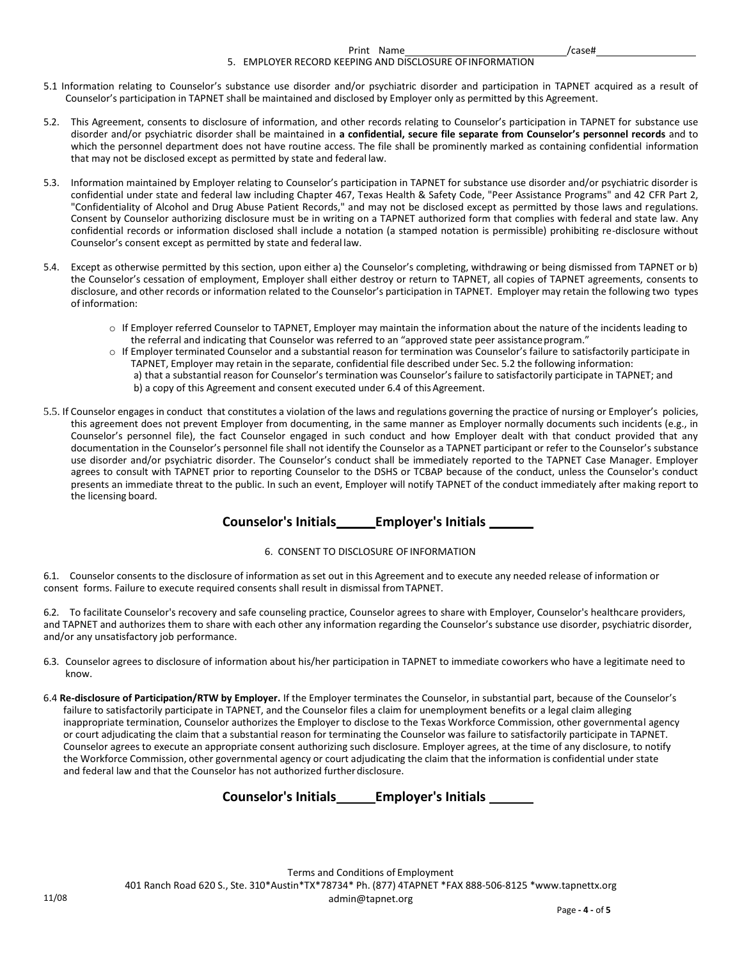#### Print Name /case# 5. EMPLOYER RECORD KEEPING AND DISCLOSURE OFINFORMATION

- 5.1 Information relating to Counselor's substance use disorder and/or psychiatric disorder and participation in TAPNET acquired as a result of Counselor's participation in TAPNET shall be maintained and disclosed by Employer only as permitted by this Agreement.
- 5.2. This Agreement, consents to disclosure of information, and other records relating to Counselor's participation in TAPNET for substance use disorder and/or psychiatric disorder shall be maintained in **a confidential, secure file separate from Counselor's personnel records** and to which the personnel department does not have routine access. The file shall be prominently marked as containing confidential information that may not be disclosed except as permitted by state and federal law.
- 5.3. Information maintained by Employer relating to Counselor's participation in TAPNET for substance use disorder and/or psychiatric disorder is confidential under state and federal law including Chapter 467, Texas Health & Safety Code, "Peer Assistance Programs" and 42 CFR Part 2, "Confidentiality of Alcohol and Drug Abuse Patient Records," and may not be disclosed except as permitted by those laws and regulations. Consent by Counselor authorizing disclosure must be in writing on a TAPNET authorized form that complies with federal and state law. Any confidential records or information disclosed shall include a notation (a stamped notation is permissible) prohibiting re-disclosure without Counselor's consent except as permitted by state and federal law.
- 5.4. Except as otherwise permitted by this section, upon either a) the Counselor's completing, withdrawing or being dismissed from TAPNET or b) the Counselor's cessation of employment, Employer shall either destroy or return to TAPNET, all copies of TAPNET agreements, consents to disclosure, and other records or information related to the Counselor's participation in TAPNET. Employer may retain the following two types of information:
	- o If Employer referred Counselor to TAPNET, Employer may maintain the information about the nature of the incidents leading to the referral and indicating that Counselor was referred to an "approved state peer assistance program."
	- o If Employer terminated Counselor and a substantial reason for termination was Counselor's failure to satisfactorily participate in TAPNET, Employer may retain in the separate, confidential file described under Sec. 5.2 the following information: a) that a substantial reason for Counselor's termination was Counselor's failure to satisfactorily participate in TAPNET; and b) a copy of this Agreement and consent executed under 6.4 of this Agreement.
- 5.5. If Counselor engages in conduct that constitutes a violation of the laws and regulations governing the practice of nursing or Employer's policies, this agreement does not prevent Employer from documenting, in the same manner as Employer normally documents such incidents (e.g., in Counselor's personnel file), the fact Counselor engaged in such conduct and how Employer dealt with that conduct provided that any documentation in the Counselor's personnel file shall not identify the Counselor as a TAPNET participant or refer to the Counselor's substance use disorder and/or psychiatric disorder. The Counselor's conduct shall be immediately reported to the TAPNET Case Manager. Employer agrees to consult with TAPNET prior to reporting Counselor to the DSHS or TCBAP because of the conduct, unless the Counselor's conduct presents an immediate threat to the public. In such an event, Employer will notify TAPNET of the conduct immediately after making report to the licensing board.

## **Counselor's Initials Employer's Initials**

#### 6. CONSENT TO DISCLOSURE OF INFORMATION

6.1. Counselor consents to the disclosure of information as set out in this Agreement and to execute any needed release of information or consent forms. Failure to execute required consents shall result in dismissal fromTAPNET.

6.2. To facilitate Counselor's recovery and safe counseling practice, Counselor agrees to share with Employer, Counselor's healthcare providers, and TAPNET and authorizes them to share with each other any information regarding the Counselor's substance use disorder, psychiatric disorder, and/or any unsatisfactory job performance.

- 6.3. Counselor agrees to disclosure of information about his/her participation in TAPNET to immediate coworkers who have a legitimate need to know.
- 6.4 **Re-disclosure of Participation/RTW by Employer.** If the Employer terminates the Counselor, in substantial part, because of the Counselor's failure to satisfactorily participate in TAPNET, and the Counselor files a claim for unemployment benefits or a legal claim alleging inappropriate termination, Counselor authorizes the Employer to disclose to the Texas Workforce Commission, other governmental agency or court adjudicating the claim that a substantial reason for terminating the Counselor was failure to satisfactorily participate in TAPNET. Counselor agrees to execute an appropriate consent authorizing such disclosure. Employer agrees, at the time of any disclosure, to notify the Workforce Commission, other governmental agency or court adjudicating the claim that the information is confidential under state and federal law and that the Counselor has not authorized further disclosure.

# **Counselor's Initials Employer's Initials**